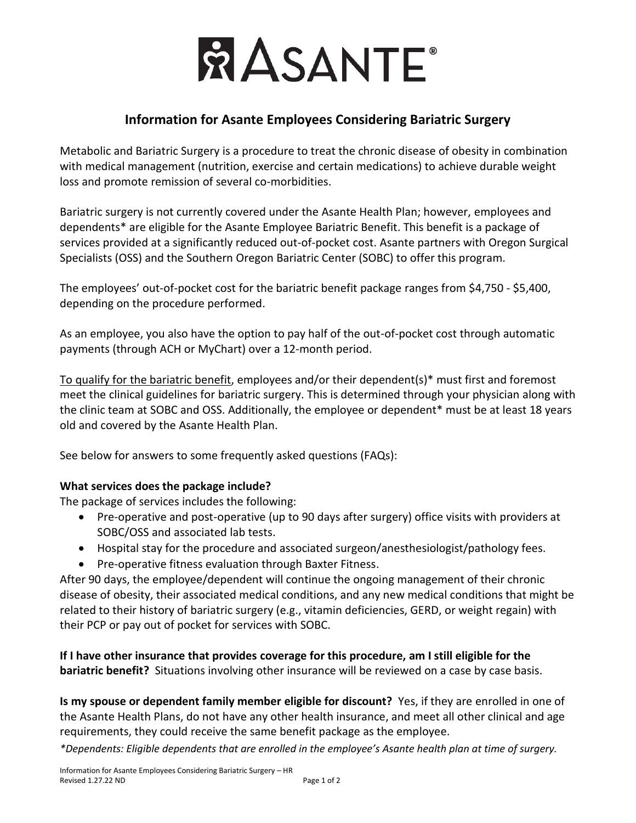

## **Information for Asante Employees Considering Bariatric Surgery**

Metabolic and Bariatric Surgery is a procedure to treat the chronic disease of obesity in combination with medical management (nutrition, exercise and certain medications) to achieve durable weight loss and promote remission of several co-morbidities.

Bariatric surgery is not currently covered under the Asante Health Plan; however, employees and dependents\* are eligible for the Asante Employee Bariatric Benefit. This benefit is a package of services provided at a significantly reduced out-of-pocket cost. Asante partners with Oregon Surgical Specialists (OSS) and the Southern Oregon Bariatric Center (SOBC) to offer this program.

The employees' out-of-pocket cost for the bariatric benefit package ranges from \$4,750 - \$5,400, depending on the procedure performed.

As an employee, you also have the option to pay half of the out-of-pocket cost through automatic payments (through ACH or MyChart) over a 12-month period.

To qualify for the bariatric benefit, employees and/or their dependent(s)\* must first and foremost meet the clinical guidelines for bariatric surgery. This is determined through your physician along with the clinic team at SOBC and OSS. Additionally, the employee or dependent\* must be at least 18 years old and covered by the Asante Health Plan.

See below for answers to some frequently asked questions (FAQs):

## **What services does the package include?**

The package of services includes the following:

- Pre-operative and post-operative (up to 90 days after surgery) office visits with providers at SOBC/OSS and associated lab tests.
- Hospital stay for the procedure and associated surgeon/anesthesiologist/pathology fees.
- Pre-operative fitness evaluation through Baxter Fitness.

After 90 days, the employee/dependent will continue the ongoing management of their chronic disease of obesity, their associated medical conditions, and any new medical conditions that might be related to their history of bariatric surgery (e.g., vitamin deficiencies, GERD, or weight regain) with their PCP or pay out of pocket for services with SOBC.

**If I have other insurance that provides coverage for this procedure, am I still eligible for the bariatric benefit?** Situations involving other insurance will be reviewed on a case by case basis.

**Is my spouse or dependent family member eligible for discount?** Yes, if they are enrolled in one of the Asante Health Plans, do not have any other health insurance, and meet all other clinical and age requirements, they could receive the same benefit package as the employee.

*\*Dependents: Eligible dependents that are enrolled in the employee's Asante health plan at time of surgery.*